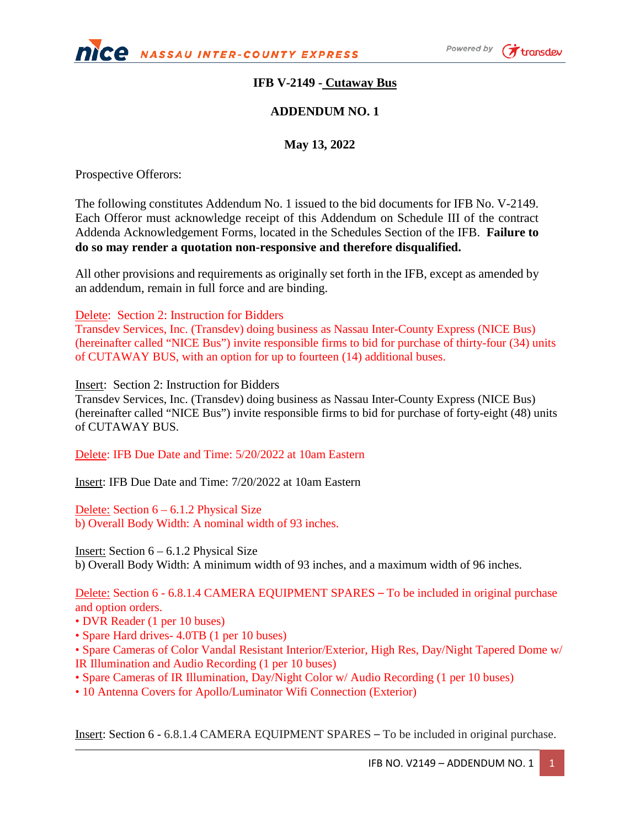**NICE** NASSAU INTER-COUNTY EXPRESS



# **IFB V-2149 - Cutaway Bus**

# **ADDENDUM NO. 1**

## **May 13, 2022**

Prospective Offerors:

The following constitutes Addendum No. 1 issued to the bid documents for IFB No. V-2149. Each Offeror must acknowledge receipt of this Addendum on Schedule III of the contract Addenda Acknowledgement Forms, located in the Schedules Section of the IFB. **Failure to do so may render a quotation non-responsive and therefore disqualified.**

All other provisions and requirements as originally set forth in the IFB, except as amended by an addendum, remain in full force and are binding.

Delete: Section 2: Instruction for Bidders

Transdev Services, Inc. (Transdev) doing business as Nassau Inter-County Express (NICE Bus) (hereinafter called "NICE Bus") invite responsible firms to bid for purchase of thirty-four (34) units of CUTAWAY BUS, with an option for up to fourteen (14) additional buses.

Insert: Section 2: Instruction for Bidders

Transdev Services, Inc. (Transdev) doing business as Nassau Inter-County Express (NICE Bus) (hereinafter called "NICE Bus") invite responsible firms to bid for purchase of forty-eight (48) units of CUTAWAY BUS.

Delete: IFB Due Date and Time: 5/20/2022 at 10am Eastern

Insert: IFB Due Date and Time: 7/20/2022 at 10am Eastern

Delete: Section 6 – 6.1.2 Physical Size b) Overall Body Width: A nominal width of 93 inches.

Insert: Section 6 – 6.1.2 Physical Size b) Overall Body Width: A minimum width of 93 inches, and a maximum width of 96 inches.

Delete: Section 6 - 6.8.1.4 CAMERA EQUIPMENT SPARES – To be included in original purchase and option orders.

- DVR Reader (1 per 10 buses)
- Spare Hard drives- 4.0TB (1 per 10 buses)
- Spare Cameras of Color Vandal Resistant Interior/Exterior, High Res, Day/Night Tapered Dome w/ IR Illumination and Audio Recording (1 per 10 buses)
- Spare Cameras of IR Illumination, Day/Night Color w/ Audio Recording (1 per 10 buses)
- 10 Antenna Covers for Apollo/Luminator Wifi Connection (Exterior)

Insert: Section 6 - 6.8.1.4 CAMERA EQUIPMENT SPARES – To be included in original purchase.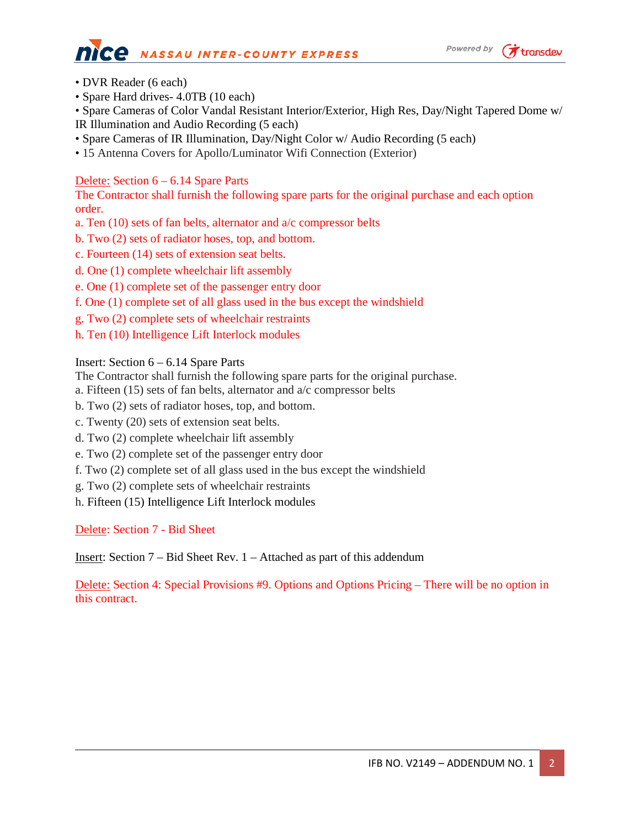# **NASSAU INTER-COUNTY EXPRESS**



- DVR Reader (6 each)
- Spare Hard drives- 4.0TB (10 each)

• Spare Cameras of Color Vandal Resistant Interior/Exterior, High Res, Day/Night Tapered Dome w/ IR Illumination and Audio Recording (5 each)

- Spare Cameras of IR Illumination, Day/Night Color w/ Audio Recording (5 each)
- 15 Antenna Covers for Apollo/Luminator Wifi Connection (Exterior)

Delete: Section 6 – 6.14 Spare Parts

The Contractor shall furnish the following spare parts for the original purchase and each option order.

- a. Ten (10) sets of fan belts, alternator and a/c compressor belts
- b. Two (2) sets of radiator hoses, top, and bottom.
- c. Fourteen (14) sets of extension seat belts.
- d. One (1) complete wheelchair lift assembly
- e. One (1) complete set of the passenger entry door
- f. One (1) complete set of all glass used in the bus except the windshield
- g. Two (2) complete sets of wheelchair restraints
- h. Ten (10) Intelligence Lift Interlock modules

Insert: Section 6 – 6.14 Spare Parts

The Contractor shall furnish the following spare parts for the original purchase.

- a. Fifteen (15) sets of fan belts, alternator and a/c compressor belts
- b. Two (2) sets of radiator hoses, top, and bottom.
- c. Twenty (20) sets of extension seat belts.
- d. Two (2) complete wheelchair lift assembly
- e. Two (2) complete set of the passenger entry door
- f. Two (2) complete set of all glass used in the bus except the windshield
- g. Two (2) complete sets of wheelchair restraints
- h. Fifteen (15) Intelligence Lift Interlock modules

Delete: Section 7 - Bid Sheet

Insert: Section 7 – Bid Sheet Rev. 1 – Attached as part of this addendum

Delete: Section 4: Special Provisions #9. Options and Options Pricing – There will be no option in this contract.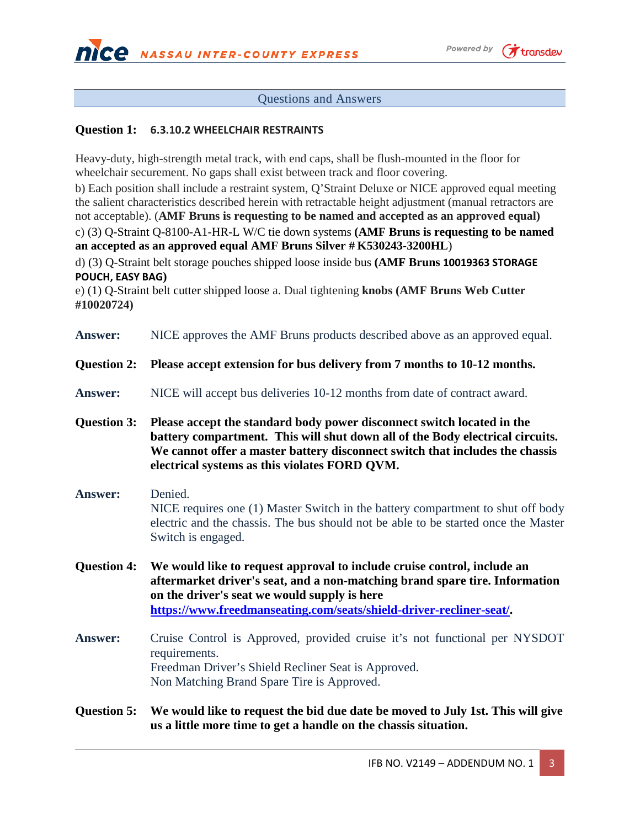

#### Questions and Answers

#### **Question 1: 6.3.10.2 WHEELCHAIR RESTRAINTS**

Heavy-duty, high-strength metal track, with end caps, shall be flush-mounted in the floor for wheelchair securement. No gaps shall exist between track and floor covering.

b) Each position shall include a restraint system, Q'Straint Deluxe or NICE approved equal meeting the salient characteristics described herein with retractable height adjustment (manual retractors are not acceptable). (**AMF Bruns is requesting to be named and accepted as an approved equal)** c) (3) Q-Straint Q-8100-A1-HR-L W/C tie down systems **(AMF Bruns is requesting to be named an accepted as an approved equal AMF Bruns Silver # K530243-3200HL**)

d) (3) Q-Straint belt storage pouches shipped loose inside bus **(AMF Bruns 10019363 STORAGE POUCH, EASY BAG)**

e) (1) Q-Straint belt cutter shipped loose a. Dual tightening **knobs (AMF Bruns Web Cutter #10020724)**

**Answer:** NICE approves the AMF Bruns products described above as an approved equal.

- **Question 2: Please accept extension for bus delivery from 7 months to 10-12 months.**
- **Answer:** NICE will accept bus deliveries 10-12 months from date of contract award.
- **Question 3: Please accept the standard body power disconnect switch located in the battery compartment. This will shut down all of the Body electrical circuits. We cannot offer a master battery disconnect switch that includes the chassis electrical systems as this violates FORD QVM.**
- **Answer:** Denied. NICE requires one (1) Master Switch in the battery compartment to shut off body electric and the chassis. The bus should not be able to be started once the Master Switch is engaged.

**Question 4: We would like to request approval to include cruise control, include an aftermarket driver's seat, and a non-matching brand spare tire. Information on the driver's seat we would supply is here [https://www.freedmanseating.com/seats/shield-driver-recliner-seat/.](https://eur02.safelinks.protection.outlook.com/?url=https%3A%2F%2Fwww.freedmanseating.com%2Fseats%2Fshield-driver-recliner-seat%2F&data=04%7C01%7Ckristin.curcio%40transdev.com%7C86972655fdc2427f0d9c08da1e27344a%7Cb4518aa80d3e4d10bc774cd7dede3446%7C0%7C0%7C637855452503101620%7CUnknown%7CTWFpbGZsb3d8eyJWIjoiMC4wLjAwMDAiLCJQIjoiV2luMzIiLCJBTiI6Ik1haWwiLCJXVCI6Mn0%3D%7C2000&sdata=Dqukq7gvyZdd3COvhEe6YABW%2Bs70FOJn4rvAZcW1QdM%3D&reserved=0)** 

- **Answer:** Cruise Control is Approved, provided cruise it's not functional per NYSDOT requirements. Freedman Driver's Shield Recliner Seat is Approved. Non Matching Brand Spare Tire is Approved.
- **Question 5: We would like to request the bid due date be moved to July 1st. This will give us a little more time to get a handle on the chassis situation.**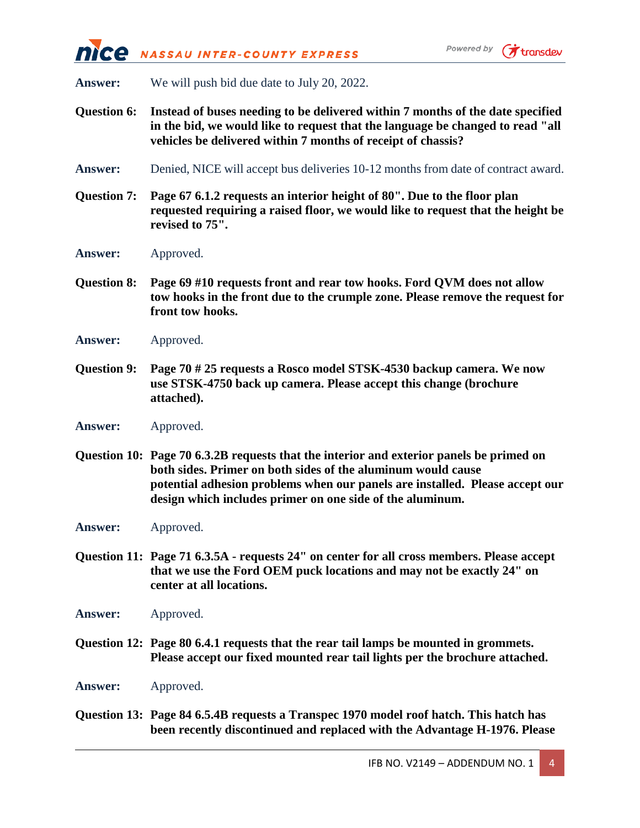NASSAU INTER-COUNTY EXPRESS



**Answer:** We will push bid due date to July 20, 2022.

- **Question 6: Instead of buses needing to be delivered within 7 months of the date specified in the bid, we would like to request that the language be changed to read "all vehicles be delivered within 7 months of receipt of chassis?**
- **Answer:** Denied, NICE will accept bus deliveries 10-12 months from date of contract award.
- **Question 7: Page 67 6.1.2 requests an interior height of 80". Due to the floor plan requested requiring a raised floor, we would like to request that the height be revised to 75".**
- **Answer:** Approved.
- **Question 8: Page 69 #10 requests front and rear tow hooks. Ford QVM does not allow tow hooks in the front due to the crumple zone. Please remove the request for front tow hooks.**
- **Answer:** Approved.
- **Question 9: Page 70 # 25 requests a Rosco model STSK-4530 backup camera. We now use STSK-4750 back up camera. Please accept this change (brochure attached).**
- **Answer:** Approved.
- **Question 10: Page 70 6.3.2B requests that the interior and exterior panels be primed on both sides. Primer on both sides of the aluminum would cause potential adhesion problems when our panels are installed. Please accept our design which includes primer on one side of the aluminum.**
- **Answer:** Approved.
- **Question 11: Page 71 6.3.5A - requests 24" on center for all cross members. Please accept that we use the Ford OEM puck locations and may not be exactly 24" on center at all locations.**
- **Answer:** Approved.
- **Question 12: Page 80 6.4.1 requests that the rear tail lamps be mounted in grommets. Please accept our fixed mounted rear tail lights per the brochure attached.**

**Answer:** Approved.

**Question 13: Page 84 6.5.4B requests a Transpec 1970 model roof hatch. This hatch has been recently discontinued and replaced with the Advantage H-1976. Please**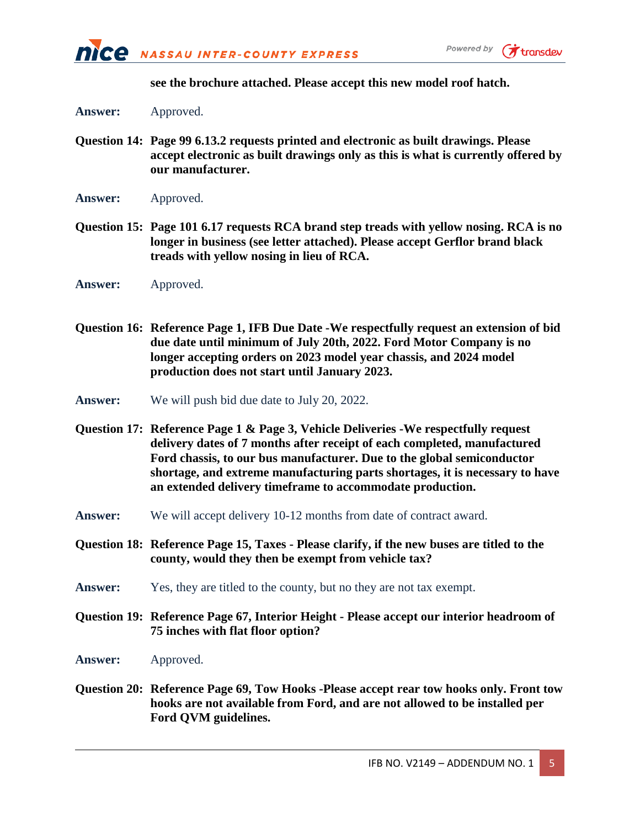



**see the brochure attached. Please accept this new model roof hatch.**

**Answer:** Approved.

- **Question 14: Page 99 6.13.2 requests printed and electronic as built drawings. Please accept electronic as built drawings only as this is what is currently offered by our manufacturer.**
- **Answer:** Approved.
- **Question 15: Page 101 6.17 requests RCA brand step treads with yellow nosing. RCA is no longer in business (see letter attached). Please accept Gerflor brand black treads with yellow nosing in lieu of RCA.**
- **Answer:** Approved.
- **Question 16: Reference Page 1, IFB Due Date -We respectfully request an extension of bid due date until minimum of July 20th, 2022. Ford Motor Company is no longer accepting orders on 2023 model year chassis, and 2024 model production does not start until January 2023.**
- **Answer:** We will push bid due date to July 20, 2022.
- **Question 17: Reference Page 1 & Page 3, Vehicle Deliveries -We respectfully request delivery dates of 7 months after receipt of each completed, manufactured Ford chassis, to our bus manufacturer. Due to the global semiconductor shortage, and extreme manufacturing parts shortages, it is necessary to have an extended delivery timeframe to accommodate production.**
- **Answer:** We will accept delivery 10-12 months from date of contract award.
- **Question 18: Reference Page 15, Taxes - Please clarify, if the new buses are titled to the county, would they then be exempt from vehicle tax?**
- **Answer:** Yes, they are titled to the county, but no they are not tax exempt.
- **Question 19: Reference Page 67, Interior Height - Please accept our interior headroom of 75 inches with flat floor option?**
- **Answer:** Approved.
- **Question 20: Reference Page 69, Tow Hooks -Please accept rear tow hooks only. Front tow hooks are not available from Ford, and are not allowed to be installed per Ford QVM guidelines.**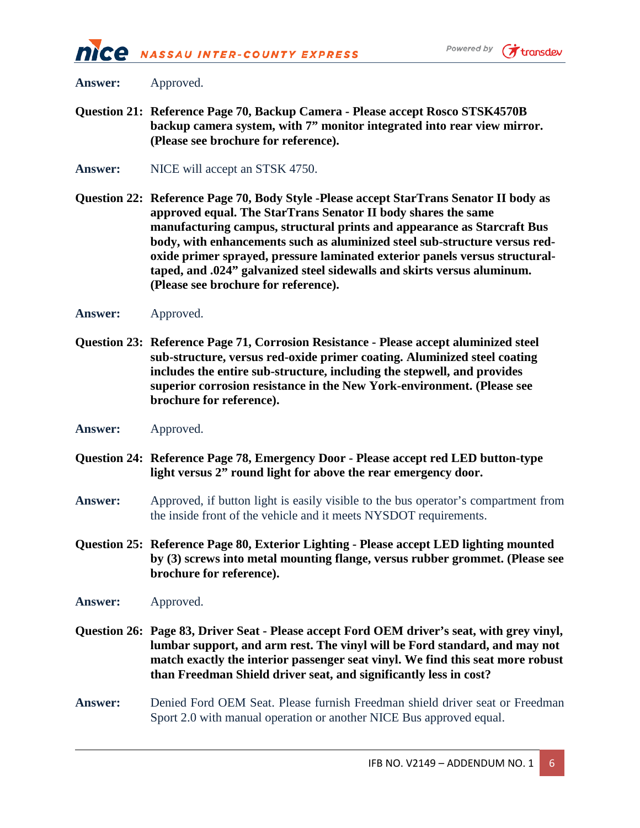



**Answer:** Approved.

- **Question 21: Reference Page 70, Backup Camera - Please accept Rosco STSK4570B backup camera system, with 7" monitor integrated into rear view mirror. (Please see brochure for reference).**
- **Answer:** NICE will accept an STSK 4750.
- **Question 22: Reference Page 70, Body Style -Please accept StarTrans Senator II body as approved equal. The StarTrans Senator II body shares the same manufacturing campus, structural prints and appearance as Starcraft Bus body, with enhancements such as aluminized steel sub-structure versus redoxide primer sprayed, pressure laminated exterior panels versus structuraltaped, and .024" galvanized steel sidewalls and skirts versus aluminum. (Please see brochure for reference).**
- **Answer:** Approved.
- **Question 23: Reference Page 71, Corrosion Resistance - Please accept aluminized steel sub-structure, versus red-oxide primer coating. Aluminized steel coating includes the entire sub-structure, including the stepwell, and provides superior corrosion resistance in the New York-environment. (Please see brochure for reference).**
- **Answer:** Approved.
- **Question 24: Reference Page 78, Emergency Door - Please accept red LED button-type light versus 2" round light for above the rear emergency door.**
- **Answer:** Approved, if button light is easily visible to the bus operator's compartment from the inside front of the vehicle and it meets NYSDOT requirements.
- **Question 25: Reference Page 80, Exterior Lighting - Please accept LED lighting mounted by (3) screws into metal mounting flange, versus rubber grommet. (Please see brochure for reference).**
- **Answer:** Approved.
- **Question 26: Page 83, Driver Seat - Please accept Ford OEM driver's seat, with grey vinyl, lumbar support, and arm rest. The vinyl will be Ford standard, and may not match exactly the interior passenger seat vinyl. We find this seat more robust than Freedman Shield driver seat, and significantly less in cost?**
- **Answer:** Denied Ford OEM Seat. Please furnish Freedman shield driver seat or Freedman Sport 2.0 with manual operation or another NICE Bus approved equal.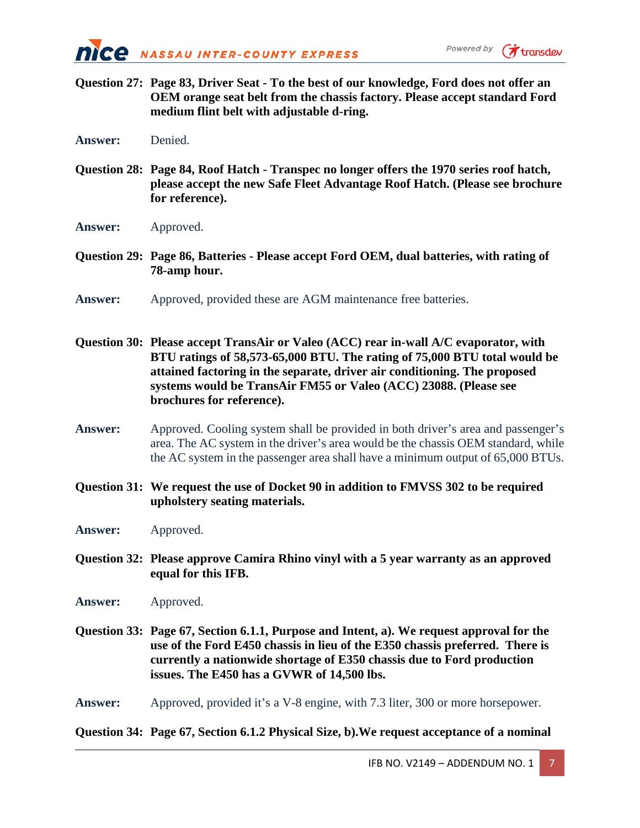**NASSAU INTER-COUNTY EXPRESS** 

- **Question 27: Page 83, Driver Seat - To the best of our knowledge, Ford does not offer an OEM orange seat belt from the chassis factory. Please accept standard Ford medium flint belt with adjustable d-ring.**
- **Answer:** Denied.
- **Question 28: Page 84, Roof Hatch - Transpec no longer offers the 1970 series roof hatch, please accept the new Safe Fleet Advantage Roof Hatch. (Please see brochure for reference).**
- **Answer:** Approved.
- **Question 29: Page 86, Batteries - Please accept Ford OEM, dual batteries, with rating of 78-amp hour.**
- **Answer:** Approved, provided these are AGM maintenance free batteries.
- **Question 30: Please accept TransAir or Valeo (ACC) rear in-wall A/C evaporator, with BTU ratings of 58,573-65,000 BTU. The rating of 75,000 BTU total would be attained factoring in the separate, driver air conditioning. The proposed systems would be TransAir FM55 or Valeo (ACC) 23088. (Please see brochures for reference).**
- **Answer:** Approved. Cooling system shall be provided in both driver's area and passenger's area. The AC system in the driver's area would be the chassis OEM standard, while the AC system in the passenger area shall have a minimum output of 65,000 BTUs.
- **Question 31: We request the use of Docket 90 in addition to FMVSS 302 to be required upholstery seating materials.**
- **Answer:** Approved.
- **Question 32: Please approve Camira Rhino vinyl with a 5 year warranty as an approved equal for this IFB.**
- **Answer:** Approved.
- **Question 33: Page 67, Section 6.1.1, Purpose and Intent, a). We request approval for the use of the Ford E450 chassis in lieu of the E350 chassis preferred. There is currently a nationwide shortage of E350 chassis due to Ford production issues. The E450 has a GVWR of 14,500 lbs.**
- **Answer:** Approved, provided it's a V-8 engine, with 7.3 liter, 300 or more horsepower.

**Question 34: Page 67, Section 6.1.2 Physical Size, b).We request acceptance of a nominal**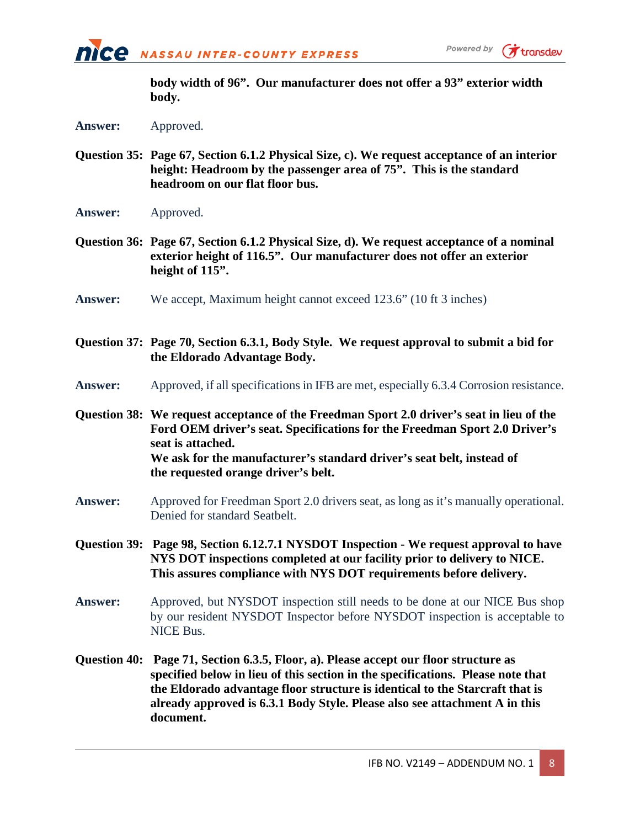



**body width of 96". Our manufacturer does not offer a 93" exterior width body.** 

- **Answer:** Approved.
- **Question 35: Page 67, Section 6.1.2 Physical Size, c). We request acceptance of an interior height: Headroom by the passenger area of 75". This is the standard headroom on our flat floor bus.**
- **Answer:** Approved.
- **Question 36: Page 67, Section 6.1.2 Physical Size, d). We request acceptance of a nominal exterior height of 116.5". Our manufacturer does not offer an exterior height of 115".**
- **Answer:** We accept, Maximum height cannot exceed 123.6" (10 ft 3 inches)
- **Question 37: Page 70, Section 6.3.1, Body Style. We request approval to submit a bid for the Eldorado Advantage Body.**
- **Answer:** Approved, if all specifications in IFB are met, especially 6.3.4 Corrosion resistance.
- **Question 38: We request acceptance of the Freedman Sport 2.0 driver's seat in lieu of the Ford OEM driver's seat. Specifications for the Freedman Sport 2.0 Driver's seat is attached. We ask for the manufacturer's standard driver's seat belt, instead of the requested orange driver's belt.**
- **Answer:** Approved for Freedman Sport 2.0 drivers seat, as long as it's manually operational. Denied for standard Seatbelt.
- **Question 39: Page 98, Section 6.12.7.1 NYSDOT Inspection - We request approval to have NYS DOT inspections completed at our facility prior to delivery to NICE. This assures compliance with NYS DOT requirements before delivery.**
- **Answer:** Approved, but NYSDOT inspection still needs to be done at our NICE Bus shop by our resident NYSDOT Inspector before NYSDOT inspection is acceptable to NICE Bus.
- **Question 40: Page 71, Section 6.3.5, Floor, a). Please accept our floor structure as specified below in lieu of this section in the specifications. Please note that the Eldorado advantage floor structure is identical to the Starcraft that is already approved is 6.3.1 Body Style. Please also see attachment A in this document.**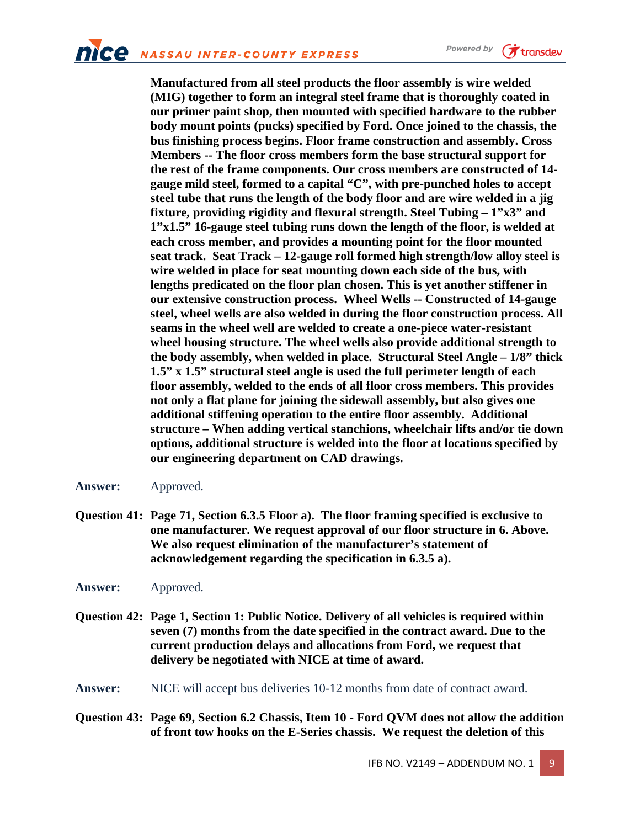

 **Manufactured from all steel products the floor assembly is wire welded (MIG) together to form an integral steel frame that is thoroughly coated in our primer paint shop, then mounted with specified hardware to the rubber body mount points (pucks) specified by Ford. Once joined to the chassis, the bus finishing process begins. Floor frame construction and assembly. Cross Members -- The floor cross members form the base structural support for the rest of the frame components. Our cross members are constructed of 14 gauge mild steel, formed to a capital "C", with pre-punched holes to accept steel tube that runs the length of the body floor and are wire welded in a jig fixture, providing rigidity and flexural strength. Steel Tubing – 1"x3" and 1"x1.5" 16-gauge steel tubing runs down the length of the floor, is welded at each cross member, and provides a mounting point for the floor mounted seat track. Seat Track – 12-gauge roll formed high strength/low alloy steel is wire welded in place for seat mounting down each side of the bus, with lengths predicated on the floor plan chosen. This is yet another stiffener in our extensive construction process. Wheel Wells -- Constructed of 14-gauge steel, wheel wells are also welded in during the floor construction process. All seams in the wheel well are welded to create a one-piece water-resistant wheel housing structure. The wheel wells also provide additional strength to the body assembly, when welded in place. Structural Steel Angle – 1/8" thick 1.5" x 1.5" structural steel angle is used the full perimeter length of each floor assembly, welded to the ends of all floor cross members. This provides not only a flat plane for joining the sidewall assembly, but also gives one additional stiffening operation to the entire floor assembly. Additional structure – When adding vertical stanchions, wheelchair lifts and/or tie down options, additional structure is welded into the floor at locations specified by our engineering department on CAD drawings.**

- **Answer:** Approved.
- **Question 41: Page 71, Section 6.3.5 Floor a). The floor framing specified is exclusive to one manufacturer. We request approval of our floor structure in 6. Above. We also request elimination of the manufacturer's statement of acknowledgement regarding the specification in 6.3.5 a).**

**Answer:** Approved.

**Question 42: Page 1, Section 1: Public Notice. Delivery of all vehicles is required within seven (7) months from the date specified in the contract award. Due to the current production delays and allocations from Ford, we request that delivery be negotiated with NICE at time of award.**

**Answer:** NICE will accept bus deliveries 10-12 months from date of contract award.

**Question 43: Page 69, Section 6.2 Chassis, Item 10 - Ford QVM does not allow the addition of front tow hooks on the E-Series chassis. We request the deletion of this**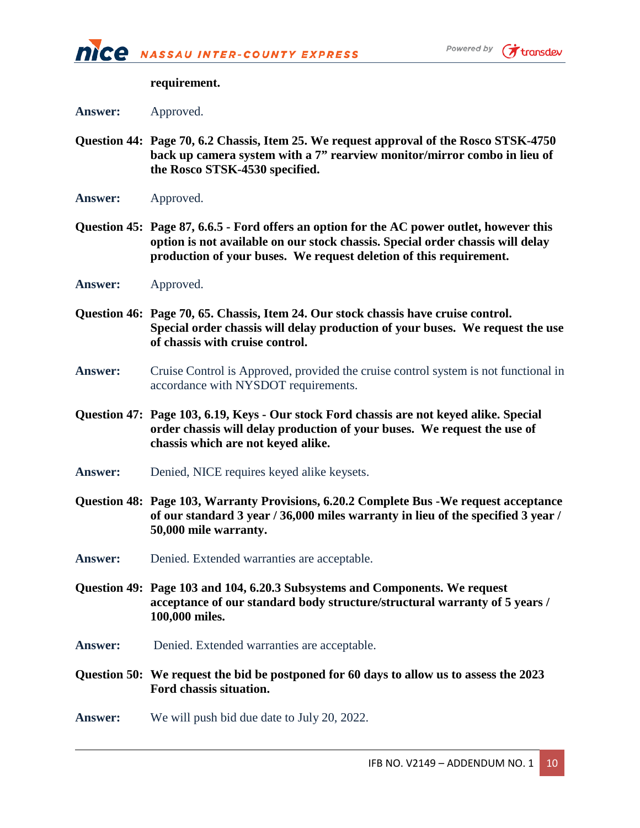



#### **requirement.**

**Answer:** Approved.

- **Question 44: Page 70, 6.2 Chassis, Item 25. We request approval of the Rosco STSK-4750 back up camera system with a 7" rearview monitor/mirror combo in lieu of the Rosco STSK-4530 specified.**
- **Answer:** Approved.
- **Question 45: Page 87, 6.6.5 - Ford offers an option for the AC power outlet, however this option is not available on our stock chassis. Special order chassis will delay production of your buses. We request deletion of this requirement.**
- **Answer:** Approved.
- **Question 46: Page 70, 65. Chassis, Item 24. Our stock chassis have cruise control. Special order chassis will delay production of your buses. We request the use of chassis with cruise control.**
- **Answer:** Cruise Control is Approved, provided the cruise control system is not functional in accordance with NYSDOT requirements.
- **Question 47: Page 103, 6.19, Keys - Our stock Ford chassis are not keyed alike. Special order chassis will delay production of your buses. We request the use of chassis which are not keyed alike.**
- **Answer:** Denied, NICE requires keyed alike keysets.
- **Question 48: Page 103, Warranty Provisions, 6.20.2 Complete Bus -We request acceptance of our standard 3 year / 36,000 miles warranty in lieu of the specified 3 year / 50,000 mile warranty.**
- **Answer:** Denied. Extended warranties are acceptable.
- **Question 49: Page 103 and 104, 6.20.3 Subsystems and Components. We request acceptance of our standard body structure/structural warranty of 5 years / 100,000 miles.**
- Answer: Denied. Extended warranties are acceptable.
- **Question 50: We request the bid be postponed for 60 days to allow us to assess the 2023 Ford chassis situation.**

**Answer:** We will push bid due date to July 20, 2022.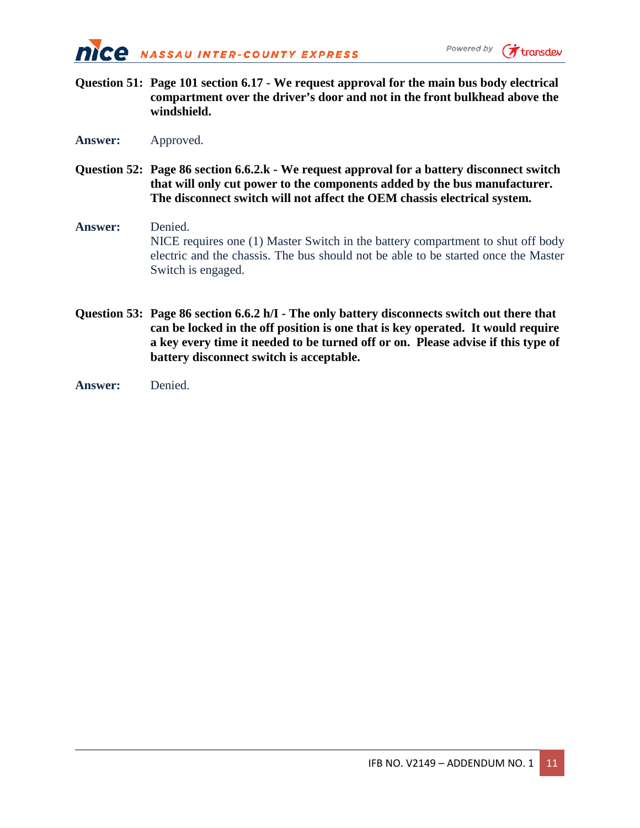



- **Question 51: Page 101 section 6.17 - We request approval for the main bus body electrical compartment over the driver's door and not in the front bulkhead above the windshield.**
- **Answer:** Approved.
- **Question 52: Page 86 section 6.6.2.k - We request approval for a battery disconnect switch that will only cut power to the components added by the bus manufacturer. The disconnect switch will not affect the OEM chassis electrical system.**
- **Answer:** Denied. NICE requires one (1) Master Switch in the battery compartment to shut off body electric and the chassis. The bus should not be able to be started once the Master Switch is engaged.
- **Question 53: Page 86 section 6.6.2 h/I - The only battery disconnects switch out there that can be locked in the off position is one that is key operated. It would require a key every time it needed to be turned off or on. Please advise if this type of battery disconnect switch is acceptable.**
- **Answer:** Denied.